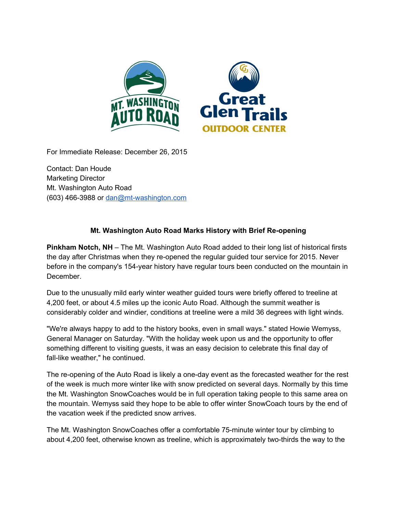

For Immediate Release: December 26, 2015

Contact: Dan Houde Marketing Director Mt. Washington Auto Road  $(603)$  466-3988 or dan@mt-washington.com

## **Mt. Washington Auto Road Marks History with Brief Reopening**

**Pinkham Notch, NH**– The Mt. Washington Auto Road added to their long list of historical firsts the day after Christmas when they re-opened the regular guided tour service for 2015. Never before in the company's 154-year history have regular tours been conducted on the mountain in December.

Due to the unusually mild early winter weather guided tours were briefly offered to treeline at 4,200 feet, or about 4.5 miles up the iconic Auto Road. Although the summit weather is considerably colder and windier, conditions at treeline were a mild 36 degrees with light winds.

"We're always happy to add to the history books, even in small ways." stated Howie Wemyss, General Manager on Saturday. "With the holiday week upon us and the opportunity to offer something different to visiting guests, it was an easy decision to celebrate this final day of fall-like weather," he continued.

The re-opening of the Auto Road is likely a one-day event as the forecasted weather for the rest of the week is much more winter like with snow predicted on several days. Normally by this time the Mt. Washington SnowCoaches would be in full operation taking people to this same area on the mountain. Wemyss said they hope to be able to offer winter SnowCoach tours by the end of the vacation week if the predicted snow arrives.

The Mt. Washington SnowCoaches offer a comfortable 75-minute winter tour by climbing to about 4,200 feet, otherwise known as treeline, which is approximately two-thirds the way to the